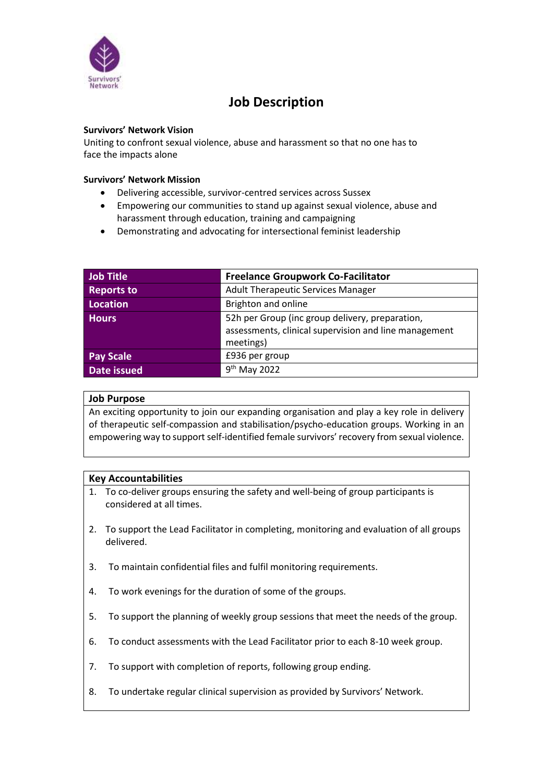

# **Job Description**

#### **Survivors' Network Vision**

Uniting to confront sexual violence, abuse and harassment so that no one has to face the impacts alone

#### **Survivors' Network Mission**

- Delivering accessible, survivor-centred services across Sussex
- Empowering our communities to stand up against sexual violence, abuse and harassment through education, training and campaigning
- Demonstrating and advocating for intersectional feminist leadership

| <b>Job Title</b>   | <b>Freelance Groupwork Co-Facilitator</b>             |  |
|--------------------|-------------------------------------------------------|--|
| <b>Reports to</b>  | <b>Adult Therapeutic Services Manager</b>             |  |
| <b>Location</b>    | Brighton and online                                   |  |
| <b>Hours</b>       | 52h per Group (inc group delivery, preparation,       |  |
|                    | assessments, clinical supervision and line management |  |
|                    | meetings)                                             |  |
| <b>Pay Scale</b>   | £936 per group                                        |  |
| <b>Date issued</b> | 9 <sup>th</sup> May 2022                              |  |

### **Job Purpose**

An exciting opportunity to join our expanding organisation and play a key role in delivery of therapeutic self-compassion and stabilisation/psycho-education groups. Working in an empowering way to support self-identified female survivors' recovery from sexual violence.

### **Key Accountabilities**

- 1. To co-deliver groups ensuring the safety and well-being of group participants is considered at all times.
- 2. To support the Lead Facilitator in completing, monitoring and evaluation of all groups delivered.
- 3. To maintain confidential files and fulfil monitoring requirements.
- 4. To work evenings for the duration of some of the groups.
- 5. To support the planning of weekly group sessions that meet the needs of the group.
- 6. To conduct assessments with the Lead Facilitator prior to each 8-10 week group.
- 7. To support with completion of reports, following group ending.
- 8. To undertake regular clinical supervision as provided by Survivors' Network.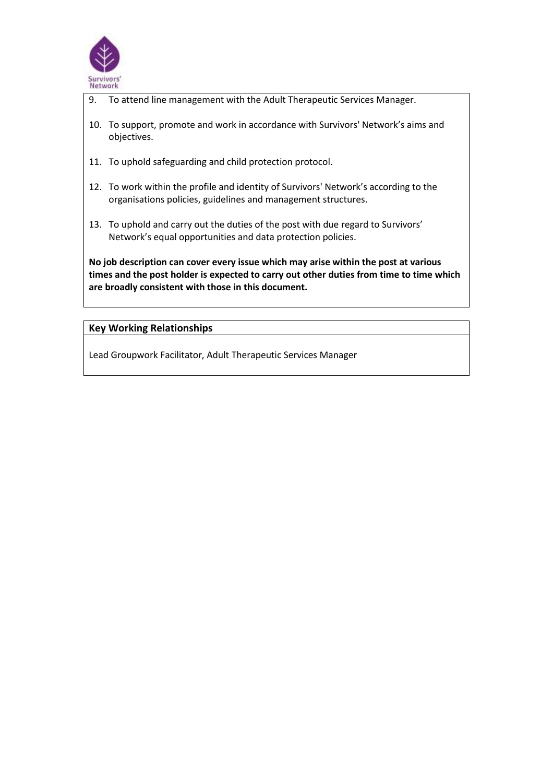

- 9. To attend line management with the Adult Therapeutic Services Manager.
- 10. To support, promote and work in accordance with Survivors' Network's aims and objectives.
- 11. To uphold safeguarding and child protection protocol.
- 12. To work within the profile and identity of Survivors' Network's according to the organisations policies, guidelines and management structures.
- 13. To uphold and carry out the duties of the post with due regard to Survivors' Network's equal opportunities and data protection policies.

**No job description can cover every issue which may arise within the post at various times and the post holder is expected to carry out other duties from time to time which are broadly consistent with those in this document.**

## **Key Working Relationships**

Lead Groupwork Facilitator, Adult Therapeutic Services Manager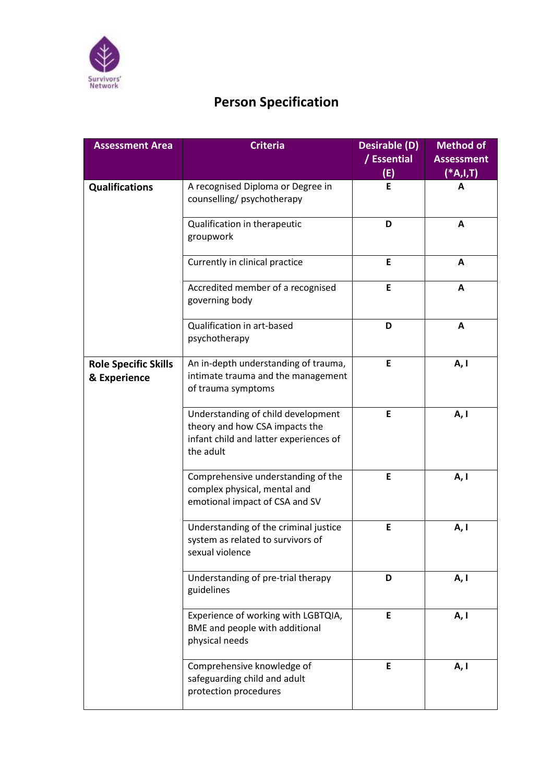

# **Person Specification**

| <b>Assessment Area</b>                      | <b>Criteria</b>                                                                                                             | Desirable (D)<br>/ Essential | <b>Method of</b><br><b>Assessment</b> |
|---------------------------------------------|-----------------------------------------------------------------------------------------------------------------------------|------------------------------|---------------------------------------|
|                                             |                                                                                                                             | (E)                          | (*A,I,T)                              |
| <b>Qualifications</b>                       | A recognised Diploma or Degree in<br>counselling/psychotherapy                                                              | E                            | A                                     |
|                                             | Qualification in therapeutic<br>groupwork                                                                                   | D                            | A                                     |
|                                             | Currently in clinical practice                                                                                              | E                            | A                                     |
|                                             | Accredited member of a recognised<br>governing body                                                                         | E                            | A                                     |
|                                             | Qualification in art-based<br>psychotherapy                                                                                 | D                            | A                                     |
| <b>Role Specific Skills</b><br>& Experience | An in-depth understanding of trauma,<br>intimate trauma and the management<br>of trauma symptoms                            | E                            | A, I                                  |
|                                             | Understanding of child development<br>theory and how CSA impacts the<br>infant child and latter experiences of<br>the adult | E                            | A, I                                  |
|                                             | Comprehensive understanding of the<br>complex physical, mental and<br>emotional impact of CSA and SV                        | E                            | A, I                                  |
|                                             | Understanding of the criminal justice<br>system as related to survivors of<br>sexual violence                               | E                            | A, I                                  |
|                                             | Understanding of pre-trial therapy<br>guidelines                                                                            | D                            | A, I                                  |
|                                             | Experience of working with LGBTQIA,<br>BME and people with additional<br>physical needs                                     | E                            | A, I                                  |
|                                             | Comprehensive knowledge of<br>safeguarding child and adult<br>protection procedures                                         | E.                           | A, I                                  |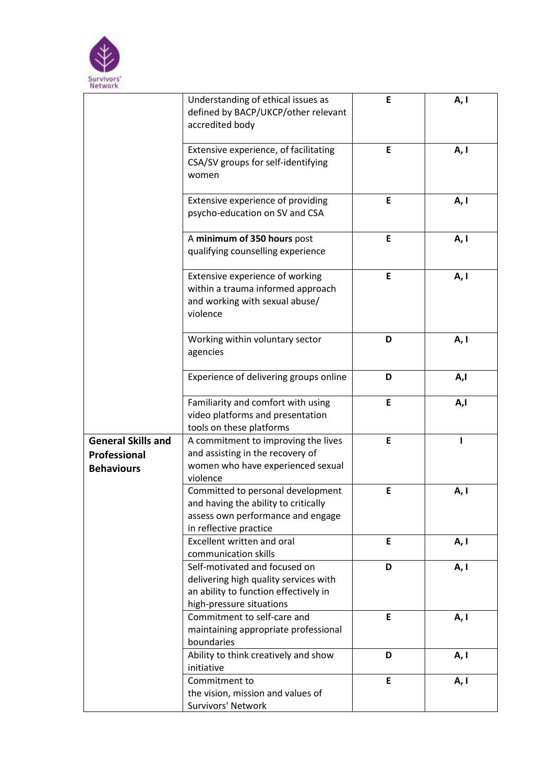

|                                                                | Understanding of ethical issues as<br>defined by BACP/UKCP/other relevant<br>accredited body                                                | E | A, I |
|----------------------------------------------------------------|---------------------------------------------------------------------------------------------------------------------------------------------|---|------|
|                                                                | Extensive experience, of facilitating<br>CSA/SV groups for self-identifying<br>women                                                        | E | A, I |
|                                                                | Extensive experience of providing<br>psycho-education on SV and CSA                                                                         | E | A, I |
|                                                                | A minimum of 350 hours post<br>qualifying counselling experience                                                                            | E | A, I |
|                                                                | Extensive experience of working<br>within a trauma informed approach<br>and working with sexual abuse/<br>violence                          | E | A, I |
|                                                                | Working within voluntary sector<br>agencies                                                                                                 | D | A, I |
|                                                                | Experience of delivering groups online                                                                                                      | D | A,I  |
|                                                                | Familiarity and comfort with using<br>video platforms and presentation<br>tools on these platforms                                          | E | A,l  |
| <b>General Skills and</b><br>Professional<br><b>Behaviours</b> | A commitment to improving the lives<br>and assisting in the recovery of<br>women who have experienced sexual<br>violence                    | E |      |
|                                                                | Committed to personal development<br>and having the ability to critically<br>assess own performance and engage<br>in reflective practice    | E | A, I |
|                                                                | Excellent written and oral<br>communication skills                                                                                          | E | A, I |
|                                                                | Self-motivated and focused on<br>delivering high quality services with<br>an ability to function effectively in<br>high-pressure situations | D | A, I |
|                                                                | Commitment to self-care and<br>maintaining appropriate professional<br>boundaries                                                           | E | A, I |
|                                                                | Ability to think creatively and show<br>initiative                                                                                          | D | A, I |
|                                                                | Commitment to<br>the vision, mission and values of<br>Survivors' Network                                                                    | E | A, I |